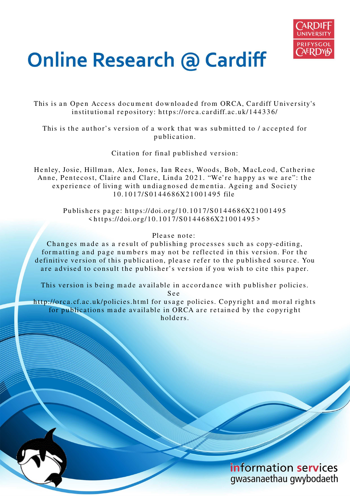

# **Online Research @ Cardiff**

This is an Open Access document downloaded from ORCA, Cardiff University's institutional repository: https://orca.cardiff.ac.uk/144336/

This is the author's version of a work that was submitted to / accepted for p u blication.

Citation for final published version:

Henley, Josie, Hillman, Alex, Jones, Ian Rees, Woods, Bob, MacLeod, Catherine Anne, Pentecost, Claire and Clare, Linda 2021. "We're happy as we are": the experience of living with undiagnosed dementia. Ageing and Society 1 0.1 0 1 7/S 01 4 4 6 8 6X21 0 0 1 4 9 5 file

Publishers page: https://doi.org/10.1017/S0144686X21001495  $\langle$ https://doi.org/10.1017/S0144686X21001495>

## Please note:

Changes made as a result of publishing processes such as copy-editing, formatting and page numbers may not be reflected in this version. For the definitive version of this publication, please refer to the published source. You are advised to consult the publisher's version if you wish to cite this paper.

This version is being made available in accordance with publisher policies.

S e e

http://orca.cf.ac.uk/policies.html for usage policies. Copyright and moral rights for publications made available in ORCA are retained by the copyright holders

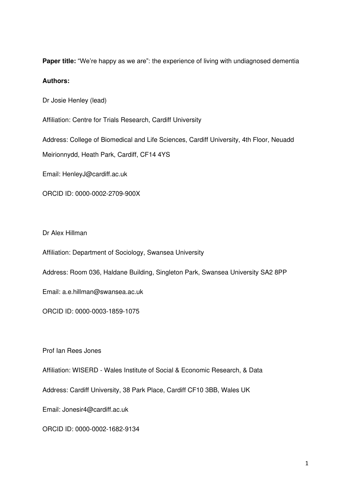**Paper title:** "We're happy as we are": the experience of living with undiagnosed dementia

## **Authors:**

Dr Josie Henley (lead)

Affiliation: Centre for Trials Research, Cardiff University

Address: College of Biomedical and Life Sciences, Cardiff University, 4th Floor, Neuadd

Meirionnydd, Heath Park, Cardiff, CF14 4YS

Email: HenleyJ@cardiff.ac.uk

ORCID ID: 0000-0002-2709-900X

Dr Alex Hillman

Affiliation: Department of Sociology, Swansea University

Address: Room 036, Haldane Building, Singleton Park, Swansea University SA2 8PP

Email: a.e.hillman@swansea.ac.uk

ORCID ID: 0000-0003-1859-1075

Prof Ian Rees Jones

Affiliation: WISERD - Wales Institute of Social & Economic Research, & Data

Address: Cardiff University, 38 Park Place, Cardiff CF10 3BB, Wales UK

Email: Jonesir4@cardiff.ac.uk

ORCID ID: 0000-0002-1682-9134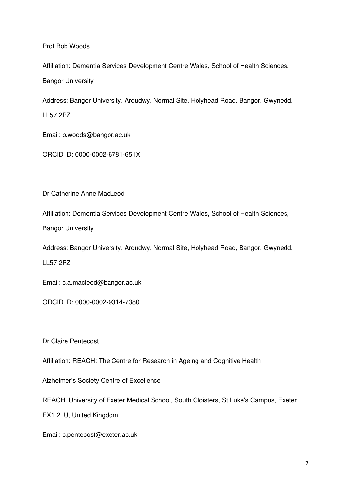Prof Bob Woods

Affiliation: Dementia Services Development Centre Wales, School of Health Sciences, Bangor University

Address: Bangor University, Ardudwy, Normal Site, Holyhead Road, Bangor, Gwynedd, LL57 2PZ

Email: b.woods@bangor.ac.uk

ORCID ID: 0000-0002-6781-651X

Dr Catherine Anne MacLeod

Affiliation: Dementia Services Development Centre Wales, School of Health Sciences,

Bangor University

Address: Bangor University, Ardudwy, Normal Site, Holyhead Road, Bangor, Gwynedd, LL57 2PZ

Email: c.a.macleod@bangor.ac.uk

ORCID ID: 0000-0002-9314-7380

Dr Claire Pentecost

Affiliation: REACH: The Centre for Research in Ageing and Cognitive Health

Alzheimer's Society Centre of Excellence

REACH, University of Exeter Medical School, South Cloisters, St Luke's Campus, Exeter

EX1 2LU, United Kingdom

Email: c.pentecost@exeter.ac.uk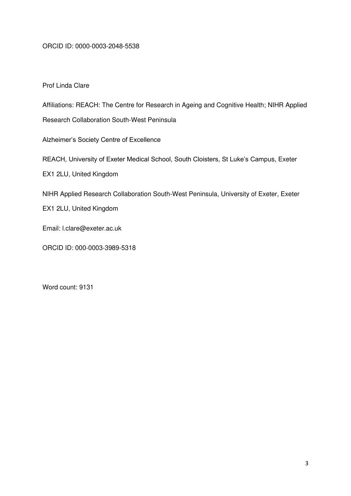## ORCID ID: 0000-0003-2048-5538

## Prof Linda Clare

Affiliations: REACH: The Centre for Research in Ageing and Cognitive Health; NIHR Applied

Research Collaboration South-West Peninsula

Alzheimer's Society Centre of Excellence

REACH, University of Exeter Medical School, South Cloisters, St Luke's Campus, Exeter

EX1 2LU, United Kingdom

NIHR Applied Research Collaboration South-West Peninsula, University of Exeter, Exeter

EX1 2LU, United Kingdom

Email: l.clare@exeter.ac.uk

ORCID ID: 000-0003-3989-5318

Word count: 9131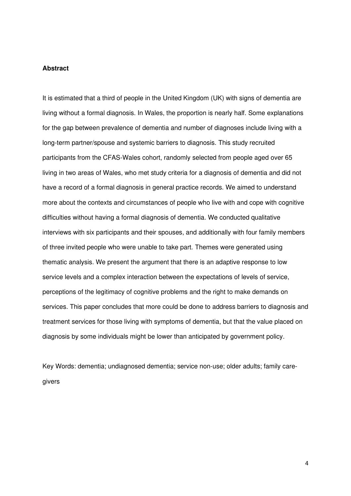## **Abstract**

It is estimated that a third of people in the United Kingdom (UK) with signs of dementia are living without a formal diagnosis. In Wales, the proportion is nearly half. Some explanations for the gap between prevalence of dementia and number of diagnoses include living with a long-term partner/spouse and systemic barriers to diagnosis. This study recruited participants from the CFAS-Wales cohort, randomly selected from people aged over 65 living in two areas of Wales, who met study criteria for a diagnosis of dementia and did not have a record of a formal diagnosis in general practice records. We aimed to understand more about the contexts and circumstances of people who live with and cope with cognitive difficulties without having a formal diagnosis of dementia. We conducted qualitative interviews with six participants and their spouses, and additionally with four family members of three invited people who were unable to take part. Themes were generated using thematic analysis. We present the argument that there is an adaptive response to low service levels and a complex interaction between the expectations of levels of service, perceptions of the legitimacy of cognitive problems and the right to make demands on services. This paper concludes that more could be done to address barriers to diagnosis and treatment services for those living with symptoms of dementia, but that the value placed on diagnosis by some individuals might be lower than anticipated by government policy.

Key Words: dementia; undiagnosed dementia; service non-use; older adults; family caregivers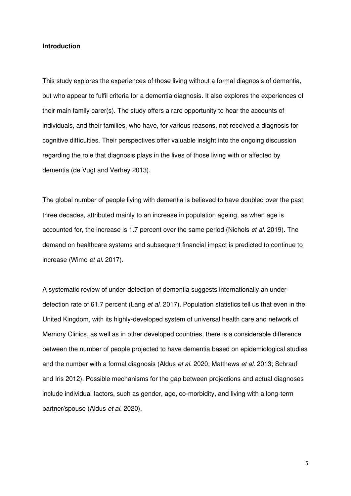#### **Introduction**

This study explores the experiences of those living without a formal diagnosis of dementia, but who appear to fulfil criteria for a dementia diagnosis. It also explores the experiences of their main family carer(s). The study offers a rare opportunity to hear the accounts of individuals, and their families, who have, for various reasons, not received a diagnosis for cognitive difficulties. Their perspectives offer valuable insight into the ongoing discussion regarding the role that diagnosis plays in the lives of those living with or affected by dementia (de Vugt and Verhey 2013).

The global number of people living with dementia is believed to have doubled over the past three decades, attributed mainly to an increase in population ageing, as when age is accounted for, the increase is 1.7 percent over the same period (Nichols *et al.* 2019). The demand on healthcare systems and subsequent financial impact is predicted to continue to increase (Wimo *et al.* 2017).

A systematic review of under-detection of dementia suggests internationally an underdetection rate of 61.7 percent (Lang *et al.* 2017). Population statistics tell us that even in the United Kingdom, with its highly-developed system of universal health care and network of Memory Clinics, as well as in other developed countries, there is a considerable difference between the number of people projected to have dementia based on epidemiological studies and the number with a formal diagnosis (Aldus *et al.* 2020; Matthews *et al.* 2013; Schrauf and Iris 2012). Possible mechanisms for the gap between projections and actual diagnoses include individual factors, such as gender, age, co-morbidity, and living with a long-term partner/spouse (Aldus *et al.* 2020).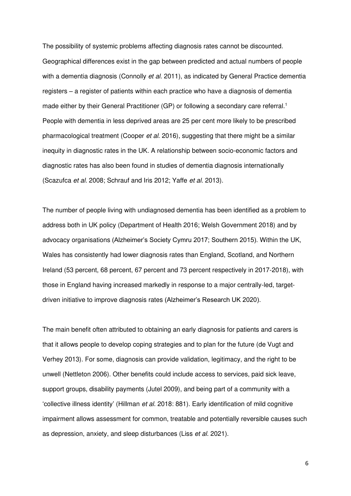The possibility of systemic problems affecting diagnosis rates cannot be discounted. Geographical differences exist in the gap between predicted and actual numbers of people with a dementia diagnosis (Connolly *et al.* 2011), as indicated by General Practice dementia registers – a register of patients within each practice who have a diagnosis of dementia made either by their General Practitioner (GP) or following a secondary care referral.<sup>1</sup> People with dementia in less deprived areas are 25 per cent more likely to be prescribed pharmacological treatment (Cooper *et al.* 2016), suggesting that there might be a similar inequity in diagnostic rates in the UK. A relationship between socio-economic factors and diagnostic rates has also been found in studies of dementia diagnosis internationally (Scazufca *et al.* 2008; Schrauf and Iris 2012; Yaffe *et al.* 2013).

The number of people living with undiagnosed dementia has been identified as a problem to address both in UK policy (Department of Health 2016; Welsh Government 2018) and by advocacy organisations (Alzheimer's Society Cymru 2017; Southern 2015). Within the UK, Wales has consistently had lower diagnosis rates than England, Scotland, and Northern Ireland (53 percent, 68 percent, 67 percent and 73 percent respectively in 2017-2018), with those in England having increased markedly in response to a major centrally-led, targetdriven initiative to improve diagnosis rates (Alzheimer's Research UK 2020).

The main benefit often attributed to obtaining an early diagnosis for patients and carers is that it allows people to develop coping strategies and to plan for the future (de Vugt and Verhey 2013). For some, diagnosis can provide validation, legitimacy, and the right to be unwell (Nettleton 2006). Other benefits could include access to services, paid sick leave, support groups, disability payments (Jutel 2009), and being part of a community with a 'collective illness identity' (Hillman *et al.* 2018: 881). Early identification of mild cognitive impairment allows assessment for common, treatable and potentially reversible causes such as depression, anxiety, and sleep disturbances (Liss *et al.* 2021).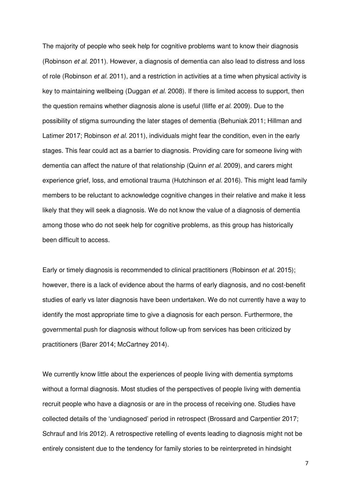The majority of people who seek help for cognitive problems want to know their diagnosis (Robinson *et al.* 2011). However, a diagnosis of dementia can also lead to distress and loss of role (Robinson *et al.* 2011), and a restriction in activities at a time when physical activity is key to maintaining wellbeing (Duggan *et al.* 2008). If there is limited access to support, then the question remains whether diagnosis alone is useful (Iliffe *et al.* 2009). Due to the possibility of stigma surrounding the later stages of dementia (Behuniak 2011; Hillman and Latimer 2017; Robinson *et al.* 2011), individuals might fear the condition, even in the early stages. This fear could act as a barrier to diagnosis. Providing care for someone living with dementia can affect the nature of that relationship (Quinn *et al.* 2009), and carers might experience grief, loss, and emotional trauma (Hutchinson *et al.* 2016). This might lead family members to be reluctant to acknowledge cognitive changes in their relative and make it less likely that they will seek a diagnosis. We do not know the value of a diagnosis of dementia among those who do not seek help for cognitive problems, as this group has historically been difficult to access.

Early or timely diagnosis is recommended to clinical practitioners (Robinson *et al.* 2015); however, there is a lack of evidence about the harms of early diagnosis, and no cost-benefit studies of early vs later diagnosis have been undertaken. We do not currently have a way to identify the most appropriate time to give a diagnosis for each person. Furthermore, the governmental push for diagnosis without follow-up from services has been criticized by practitioners (Barer 2014; McCartney 2014).

We currently know little about the experiences of people living with dementia symptoms without a formal diagnosis. Most studies of the perspectives of people living with dementia recruit people who have a diagnosis or are in the process of receiving one. Studies have collected details of the 'undiagnosed' period in retrospect (Brossard and Carpentier 2017; Schrauf and Iris 2012). A retrospective retelling of events leading to diagnosis might not be entirely consistent due to the tendency for family stories to be reinterpreted in hindsight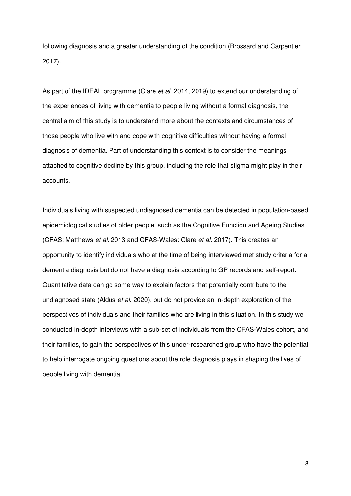following diagnosis and a greater understanding of the condition (Brossard and Carpentier 2017).

As part of the IDEAL programme (Clare *et al.* 2014, 2019) to extend our understanding of the experiences of living with dementia to people living without a formal diagnosis, the central aim of this study is to understand more about the contexts and circumstances of those people who live with and cope with cognitive difficulties without having a formal diagnosis of dementia. Part of understanding this context is to consider the meanings attached to cognitive decline by this group, including the role that stigma might play in their accounts.

Individuals living with suspected undiagnosed dementia can be detected in population-based epidemiological studies of older people, such as the Cognitive Function and Ageing Studies (CFAS: Matthews *et al.* 2013 and CFAS-Wales: Clare *et al.* 2017). This creates an opportunity to identify individuals who at the time of being interviewed met study criteria for a dementia diagnosis but do not have a diagnosis according to GP records and self-report. Quantitative data can go some way to explain factors that potentially contribute to the undiagnosed state (Aldus *et al.* 2020), but do not provide an in-depth exploration of the perspectives of individuals and their families who are living in this situation. In this study we conducted in-depth interviews with a sub-set of individuals from the CFAS-Wales cohort, and their families, to gain the perspectives of this under-researched group who have the potential to help interrogate ongoing questions about the role diagnosis plays in shaping the lives of people living with dementia.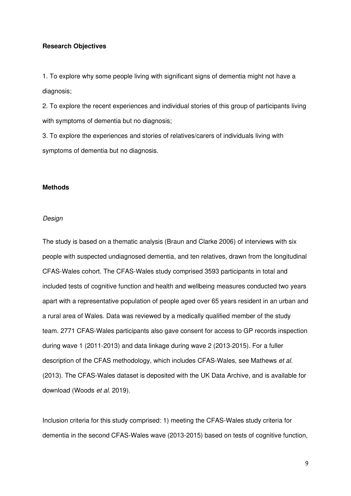#### **Research Objectives**

1. To explore why some people living with significant signs of dementia might not have a diagnosis;

2. To explore the recent experiences and individual stories of this group of participants living with symptoms of dementia but no diagnosis;

3. To explore the experiences and stories of relatives/carers of individuals living with symptoms of dementia but no diagnosis.

#### **Methods**

#### *Design*

The study is based on a thematic analysis (Braun and Clarke 2006) of interviews with six people with suspected undiagnosed dementia, and ten relatives, drawn from the longitudinal CFAS-Wales cohort. The CFAS-Wales study comprised 3593 participants in total and included tests of cognitive function and health and wellbeing measures conducted two years apart with a representative population of people aged over 65 years resident in an urban and a rural area of Wales. Data was reviewed by a medically qualified member of the study team. 2771 CFAS-Wales participants also gave consent for access to GP records inspection during wave 1 (2011-2013) and data linkage during wave 2 (2013-2015). For a fuller description of the CFAS methodology, which includes CFAS-Wales, see Mathews *et al.* (2013). The CFAS-Wales dataset is deposited with the UK Data Archive, and is available for download (Woods *et al.* 2019).

Inclusion criteria for this study comprised: 1) meeting the CFAS-Wales study criteria for dementia in the second CFAS-Wales wave (2013-2015) based on tests of cognitive function,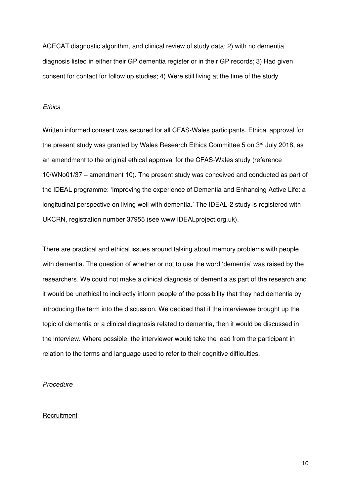AGECAT diagnostic algorithm, and clinical review of study data; 2) with no dementia diagnosis listed in either their GP dementia register or in their GP records; 3) Had given consent for contact for follow up studies; 4) Were still living at the time of the study.

## *Ethics*

Written informed consent was secured for all CFAS-Wales participants. Ethical approval for the present study was granted by Wales Research Ethics Committee 5 on 3<sup>rd</sup> July 2018, as an amendment to the original ethical approval for the CFAS-Wales study (reference 10/WNo01/37 – amendment 10). The present study was conceived and conducted as part of the IDEAL programme: 'Improving the experience of Dementia and Enhancing Active Life: a longitudinal perspective on living well with dementia.' The IDEAL-2 study is registered with UKCRN, registration number 37955 (see www.IDEALproject.org.uk).

There are practical and ethical issues around talking about memory problems with people with dementia. The question of whether or not to use the word 'dementia' was raised by the researchers. We could not make a clinical diagnosis of dementia as part of the research and it would be unethical to indirectly inform people of the possibility that they had dementia by introducing the term into the discussion. We decided that if the interviewee brought up the topic of dementia or a clinical diagnosis related to dementia, then it would be discussed in the interview. Where possible, the interviewer would take the lead from the participant in relation to the terms and language used to refer to their cognitive difficulties.

## *Procedure*

#### **Recruitment**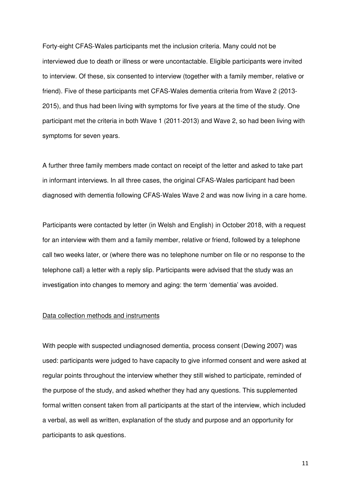Forty-eight CFAS-Wales participants met the inclusion criteria. Many could not be interviewed due to death or illness or were uncontactable. Eligible participants were invited to interview. Of these, six consented to interview (together with a family member, relative or friend). Five of these participants met CFAS-Wales dementia criteria from Wave 2 (2013- 2015), and thus had been living with symptoms for five years at the time of the study. One participant met the criteria in both Wave 1 (2011-2013) and Wave 2, so had been living with symptoms for seven years.

A further three family members made contact on receipt of the letter and asked to take part in informant interviews. In all three cases, the original CFAS-Wales participant had been diagnosed with dementia following CFAS-Wales Wave 2 and was now living in a care home.

Participants were contacted by letter (in Welsh and English) in October 2018, with a request for an interview with them and a family member, relative or friend, followed by a telephone call two weeks later, or (where there was no telephone number on file or no response to the telephone call) a letter with a reply slip. Participants were advised that the study was an investigation into changes to memory and aging: the term 'dementia' was avoided.

#### Data collection methods and instruments

With people with suspected undiagnosed dementia, process consent (Dewing 2007) was used: participants were judged to have capacity to give informed consent and were asked at regular points throughout the interview whether they still wished to participate, reminded of the purpose of the study, and asked whether they had any questions. This supplemented formal written consent taken from all participants at the start of the interview, which included a verbal, as well as written, explanation of the study and purpose and an opportunity for participants to ask questions.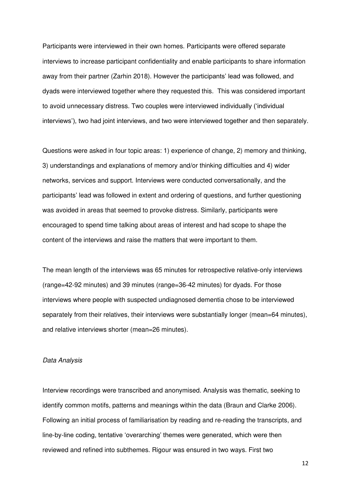Participants were interviewed in their own homes. Participants were offered separate interviews to increase participant confidentiality and enable participants to share information away from their partner (Zarhin 2018). However the participants' lead was followed, and dyads were interviewed together where they requested this. This was considered important to avoid unnecessary distress. Two couples were interviewed individually ('individual interviews'), two had joint interviews, and two were interviewed together and then separately.

Questions were asked in four topic areas: 1) experience of change, 2) memory and thinking, 3) understandings and explanations of memory and/or thinking difficulties and 4) wider networks, services and support. Interviews were conducted conversationally, and the participants' lead was followed in extent and ordering of questions, and further questioning was avoided in areas that seemed to provoke distress. Similarly, participants were encouraged to spend time talking about areas of interest and had scope to shape the content of the interviews and raise the matters that were important to them.

The mean length of the interviews was 65 minutes for retrospective relative-only interviews (range=42-92 minutes) and 39 minutes (range=36-42 minutes) for dyads. For those interviews where people with suspected undiagnosed dementia chose to be interviewed separately from their relatives, their interviews were substantially longer (mean=64 minutes), and relative interviews shorter (mean=26 minutes).

#### *Data Analysis*

Interview recordings were transcribed and anonymised. Analysis was thematic, seeking to identify common motifs, patterns and meanings within the data (Braun and Clarke 2006). Following an initial process of familiarisation by reading and re-reading the transcripts, and line-by-line coding, tentative 'overarching' themes were generated, which were then reviewed and refined into subthemes. Rigour was ensured in two ways. First two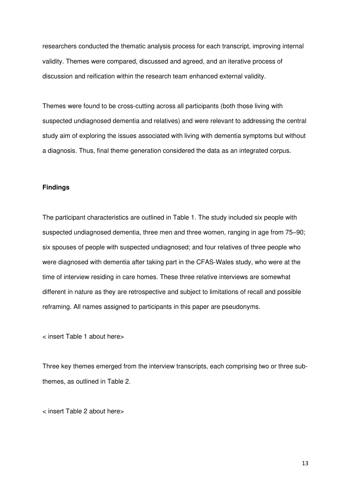researchers conducted the thematic analysis process for each transcript, improving internal validity. Themes were compared, discussed and agreed, and an iterative process of discussion and reification within the research team enhanced external validity.

Themes were found to be cross-cutting across all participants (both those living with suspected undiagnosed dementia and relatives) and were relevant to addressing the central study aim of exploring the issues associated with living with dementia symptoms but without a diagnosis. Thus, final theme generation considered the data as an integrated corpus.

## **Findings**

The participant characteristics are outlined in Table 1. The study included six people with suspected undiagnosed dementia, three men and three women, ranging in age from 75–90; six spouses of people with suspected undiagnosed; and four relatives of three people who were diagnosed with dementia after taking part in the CFAS-Wales study, who were at the time of interview residing in care homes. These three relative interviews are somewhat different in nature as they are retrospective and subject to limitations of recall and possible reframing. All names assigned to participants in this paper are pseudonyms.

< insert Table 1 about here>

Three key themes emerged from the interview transcripts, each comprising two or three subthemes, as outlined in Table 2.

< insert Table 2 about here>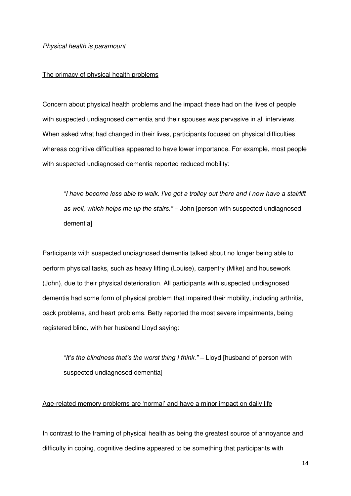*Physical health is paramount* 

## The primacy of physical health problems

Concern about physical health problems and the impact these had on the lives of people with suspected undiagnosed dementia and their spouses was pervasive in all interviews. When asked what had changed in their lives, participants focused on physical difficulties whereas cognitive difficulties appeared to have lower importance. For example, most people with suspected undiagnosed dementia reported reduced mobility:

*"I have become less able to walk. I've got a trolley out there and I now have a stairlift as well, which helps me up the stairs."* – John [person with suspected undiagnosed dementia]

Participants with suspected undiagnosed dementia talked about no longer being able to perform physical tasks, such as heavy lifting (Louise), carpentry (Mike) and housework (John), due to their physical deterioration. All participants with suspected undiagnosed dementia had some form of physical problem that impaired their mobility, including arthritis, back problems, and heart problems. Betty reported the most severe impairments, being registered blind, with her husband Lloyd saying:

*"It's the blindness that's the worst thing I think."* – Lloyd [husband of person with suspected undiagnosed dementia]

## Age-related memory problems are 'normal' and have a minor impact on daily life

In contrast to the framing of physical health as being the greatest source of annoyance and difficulty in coping, cognitive decline appeared to be something that participants with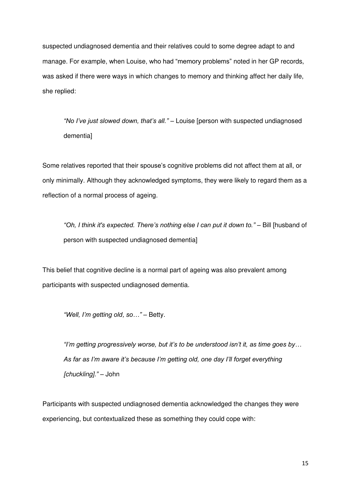suspected undiagnosed dementia and their relatives could to some degree adapt to and manage. For example, when Louise, who had "memory problems" noted in her GP records, was asked if there were ways in which changes to memory and thinking affect her daily life, she replied:

*"No I've just slowed down, that's all."* – Louise [person with suspected undiagnosed dementia]

Some relatives reported that their spouse's cognitive problems did not affect them at all, or only minimally. Although they acknowledged symptoms, they were likely to regard them as a reflection of a normal process of ageing.

*"Oh, I think it's expected. There's nothing else I can put it down to."* – Bill [husband of person with suspected undiagnosed dementia]

This belief that cognitive decline is a normal part of ageing was also prevalent among participants with suspected undiagnosed dementia.

*"Well, I'm getting old, so…"* – Betty.

*"I'm getting progressively worse, but it's to be understood isn't it, as time goes by… As far as I'm aware it's because I'm getting old, one day I'll forget everything [chuckling]."* – John

Participants with suspected undiagnosed dementia acknowledged the changes they were experiencing, but contextualized these as something they could cope with: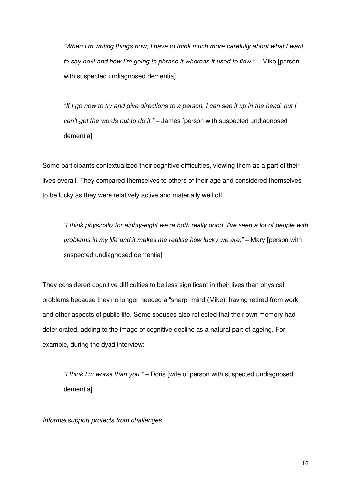*"When I'm writing things now, I have to think much more carefully about what I want to say next and how I'm going to phrase it whereas it used to flow."* – Mike [person with suspected undiagnosed dementia]

*"If I go now to try and give directions to a person, I can see it up in the head, but I can't get the words out to do it."* – James [person with suspected undiagnosed dementia]

Some participants contextualized their cognitive difficulties, viewing them as a part of their lives overall. They compared themselves to others of their age and considered themselves to be lucky as they were relatively active and materially well off.

*"I think physically for eighty-eight we're both really good. I've seen a lot of people with*  problems in my life and it makes me realise how lucky we are." - Mary [person with suspected undiagnosed dementia]

They considered cognitive difficulties to be less significant in their lives than physical problems because they no longer needed a "sharp" mind (Mike), having retired from work and other aspects of public life. Some spouses also reflected that their own memory had deteriorated, adding to the image of cognitive decline as a natural part of ageing. For example, during the dyad interview:

*"I think I'm worse than you."* – Doris [wife of person with suspected undiagnosed dementia]

*Informal support protects from challenges*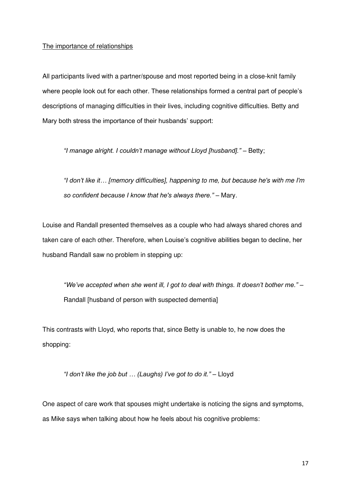## The importance of relationships

All participants lived with a partner/spouse and most reported being in a close-knit family where people look out for each other. These relationships formed a central part of people's descriptions of managing difficulties in their lives, including cognitive difficulties. Betty and Mary both stress the importance of their husbands' support:

*"I manage alright. I couldn't manage without Lloyd [husband]."* – Betty;

*"I don't like it… [memory difficulties], happening to me, but because he's with me I'm so confident because I know that he's always there." –* Mary.

Louise and Randall presented themselves as a couple who had always shared chores and taken care of each other. Therefore, when Louise's cognitive abilities began to decline, her husband Randall saw no problem in stepping up:

*"We've accepted when she went ill, I got to deal with things. It doesn't bother me."* – Randall [husband of person with suspected dementia]

This contrasts with Lloyd, who reports that, since Betty is unable to, he now does the shopping:

*"I don't like the job but … (Laughs) I've got to do it."* – Lloyd

One aspect of care work that spouses might undertake is noticing the signs and symptoms, as Mike says when talking about how he feels about his cognitive problems: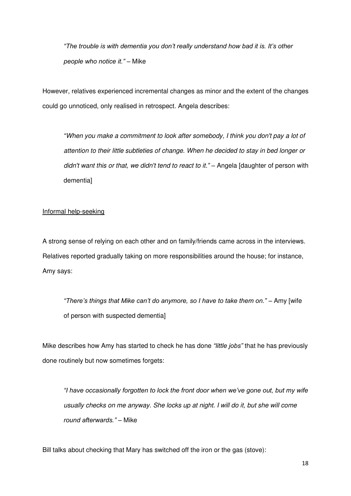*"The trouble is with dementia you don't really understand how bad it is. It's other people who notice it."* – Mike

However, relatives experienced incremental changes as minor and the extent of the changes could go unnoticed, only realised in retrospect. Angela describes:

*"When you make a commitment to look after somebody, I think you don't pay a lot of attention to their little subtleties of change. When he decided to stay in bed longer or didn't want this or that, we didn't tend to react to it."* – Angela [daughter of person with dementia]

## Informal help-seeking

A strong sense of relying on each other and on family/friends came across in the interviews. Relatives reported gradually taking on more responsibilities around the house; for instance, Amy says:

*"There's things that Mike can't do anymore, so I have to take them on."* – Amy [wife of person with suspected dementia]

Mike describes how Amy has started to check he has done *"little jobs"* that he has previously done routinely but now sometimes forgets:

*"I have occasionally forgotten to lock the front door when we've gone out, but my wife usually checks on me anyway. She locks up at night. I will do it, but she will come round afterwards."* – Mike

Bill talks about checking that Mary has switched off the iron or the gas (stove):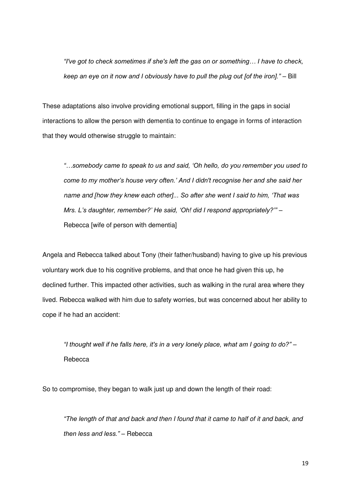*"I've got to check sometimes if she's left the gas on or something… I have to check, keep an eye on it now and I obviously have to pull the plug out [of the iron]."* – Bill

These adaptations also involve providing emotional support, filling in the gaps in social interactions to allow the person with dementia to continue to engage in forms of interaction that they would otherwise struggle to maintain:

*"…somebody came to speak to us and said, 'Oh hello, do you remember you used to come to my mother's house very often.' And I didn't recognise her and she said her name and [how they knew each other]... So after she went I said to him, 'That was Mrs. L's daughter, remember?' He said, 'Oh! did I respond appropriately?'"* – Rebecca [wife of person with dementia]

Angela and Rebecca talked about Tony (their father/husband) having to give up his previous voluntary work due to his cognitive problems, and that once he had given this up, he declined further. This impacted other activities, such as walking in the rural area where they lived. Rebecca walked with him due to safety worries, but was concerned about her ability to cope if he had an accident:

*"I thought well if he falls here, it's in a very lonely place, what am I going to do?"* – **Rebecca** 

So to compromise, they began to walk just up and down the length of their road:

*"The length of that and back and then I found that it came to half of it and back, and then less and less."* – Rebecca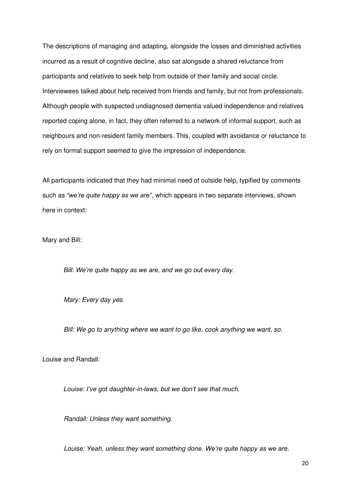The descriptions of managing and adapting, alongside the losses and diminished activities incurred as a result of cognitive decline, also sat alongside a shared reluctance from participants and relatives to seek help from outside of their family and social circle. Interviewees talked about help received from friends and family, but not from professionals. Although people with suspected undiagnosed dementia valued independence and relatives reported coping alone, in fact, they often referred to a network of informal support, such as neighbours and non-resident family members. This, coupled with avoidance or reluctance to rely on formal support seemed to give the impression of independence.

All participants indicated that they had minimal need of outside help, typified by comments such as *"we're quite happy as we are"*, which appears in two separate interviews, shown here in context:

Mary and Bill:

*Bill: We're quite happy as we are, and we go out every day.*

*Mary: Every day yes.* 

*Bill: We go to anything where we want to go like, cook anything we want, so.* 

Louise and Randall:

*Louise: I've got daughter-in-laws, but we don't see that much.* 

*Randall: Unless they want something.* 

*Louise: Yeah, unless they want something done. We're quite happy as we ar*e.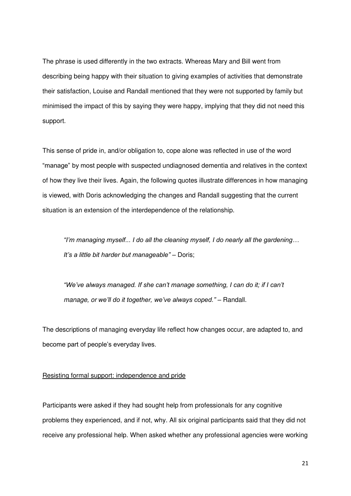The phrase is used differently in the two extracts. Whereas Mary and Bill went from describing being happy with their situation to giving examples of activities that demonstrate their satisfaction, Louise and Randall mentioned that they were not supported by family but minimised the impact of this by saying they were happy, implying that they did not need this support.

This sense of pride in, and/or obligation to, cope alone was reflected in use of the word "manage" by most people with suspected undiagnosed dementia and relatives in the context of how they live their lives. Again, the following quotes illustrate differences in how managing is viewed, with Doris acknowledging the changes and Randall suggesting that the current situation is an extension of the interdependence of the relationship.

*"I'm managing myself... I do all the cleaning myself, I do nearly all the gardening… It's a little bit harder but manageable"* – Doris;

*"We've always managed. If she can't manage something, I can do it; if I can't manage, or we'll do it together, we've always coped."* – Randall.

The descriptions of managing everyday life reflect how changes occur, are adapted to, and become part of people's everyday lives.

## Resisting formal support: independence and pride

Participants were asked if they had sought help from professionals for any cognitive problems they experienced, and if not, why. All six original participants said that they did not receive any professional help. When asked whether any professional agencies were working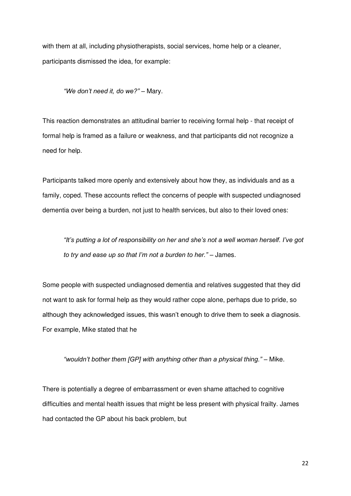with them at all, including physiotherapists, social services, home help or a cleaner, participants dismissed the idea, for example:

*"We don't need it, do we?"* – Mary.

This reaction demonstrates an attitudinal barrier to receiving formal help - that receipt of formal help is framed as a failure or weakness, and that participants did not recognize a need for help.

Participants talked more openly and extensively about how they, as individuals and as a family, coped. These accounts reflect the concerns of people with suspected undiagnosed dementia over being a burden, not just to health services, but also to their loved ones:

*"It's putting a lot of responsibility on her and she's not a well woman herself. I've got to try and ease up so that I'm not a burden to her."* – James.

Some people with suspected undiagnosed dementia and relatives suggested that they did not want to ask for formal help as they would rather cope alone, perhaps due to pride, so although they acknowledged issues, this wasn't enough to drive them to seek a diagnosis. For example, Mike stated that he

"wouldn't bother them [GP] with anything other than a physical thing." - Mike.

There is potentially a degree of embarrassment or even shame attached to cognitive difficulties and mental health issues that might be less present with physical frailty. James had contacted the GP about his back problem, but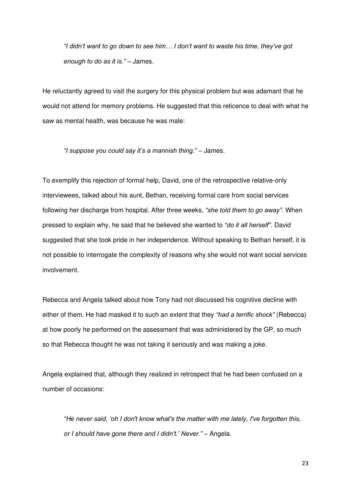*"I didn't want to go down to see him… I don't want to waste his time, they've got enough to do as it is."* – James.

He reluctantly agreed to visit the surgery for this physical problem but was adamant that he would not attend for memory problems. He suggested that this reticence to deal with what he saw as mental health, was because he was male:

*"I suppose you could say it's a mannish thing."* – James.

To exemplify this rejection of formal help, David, one of the retrospective relative-only interviewees, talked about his aunt, Bethan, receiving formal care from social services following her discharge from hospital. After three weeks, *"she told them to go away"*. When pressed to explain why, he said that he believed she wanted to *"do it all herself"*. David suggested that she took pride in her independence. Without speaking to Bethan herself, it is not possible to interrogate the complexity of reasons why she would not want social services involvement.

Rebecca and Angela talked about how Tony had not discussed his cognitive decline with either of them. He had masked it to such an extent that they *"had a terrific shock"* (Rebecca) at how poorly he performed on the assessment that was administered by the GP, so much so that Rebecca thought he was not taking it seriously and was making a joke*.* 

Angela explained that, although they realized in retrospect that he had been confused on a number of occasions:

*"He never said, 'oh I don't know what's the matter with me lately, I've forgotten this, or I should have gone there and I didn't.' Never."* – Angela.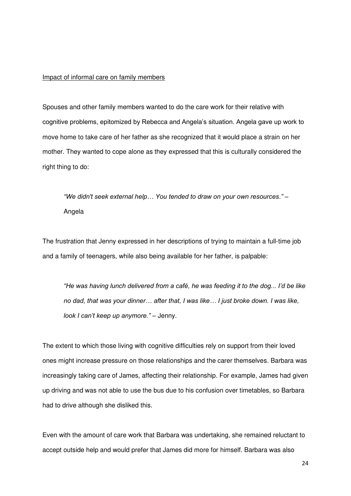#### Impact of informal care on family members

Spouses and other family members wanted to do the care work for their relative with cognitive problems, epitomized by Rebecca and Angela's situation. Angela gave up work to move home to take care of her father as she recognized that it would place a strain on her mother. They wanted to cope alone as they expressed that this is culturally considered the right thing to do:

*"We didn't seek external help… You tended to draw on your own resources."* – Angela

The frustration that Jenny expressed in her descriptions of trying to maintain a full-time job and a family of teenagers, while also being available for her father, is palpable:

*"He was having lunch delivered from a café, he was feeding it to the dog... I'd be like no dad, that was your dinner… after that, I was like… I just broke down. I was like, look I can't keep up anymore."* – Jenny.

The extent to which those living with cognitive difficulties rely on support from their loved ones might increase pressure on those relationships and the carer themselves. Barbara was increasingly taking care of James, affecting their relationship. For example, James had given up driving and was not able to use the bus due to his confusion over timetables, so Barbara had to drive although she disliked this.

Even with the amount of care work that Barbara was undertaking, she remained reluctant to accept outside help and would prefer that James did more for himself. Barbara was also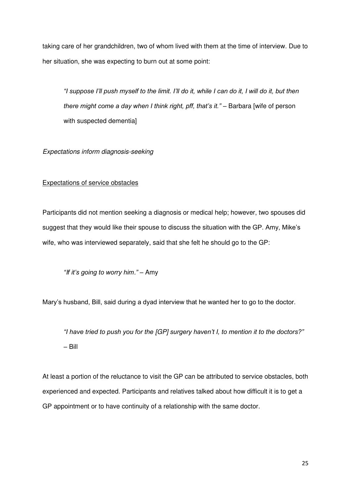taking care of her grandchildren, two of whom lived with them at the time of interview. Due to her situation, she was expecting to burn out at some point:

*"I suppose I'll push myself to the limit. I'll do it, while I can do it, I will do it, but then there might come a day when I think right, pff, that's it."* – Barbara [wife of person with suspected dementia]

*Expectations inform diagnosis-seeking* 

## Expectations of service obstacles

Participants did not mention seeking a diagnosis or medical help; however, two spouses did suggest that they would like their spouse to discuss the situation with the GP. Amy, Mike's wife, who was interviewed separately, said that she felt he should go to the GP:

*"If it's going to worry him."* – Amy

Mary's husband, Bill, said during a dyad interview that he wanted her to go to the doctor.

*"I have tried to push you for the [GP] surgery haven't I, to mention it to the doctors?"* – Bill

At least a portion of the reluctance to visit the GP can be attributed to service obstacles, both experienced and expected. Participants and relatives talked about how difficult it is to get a GP appointment or to have continuity of a relationship with the same doctor.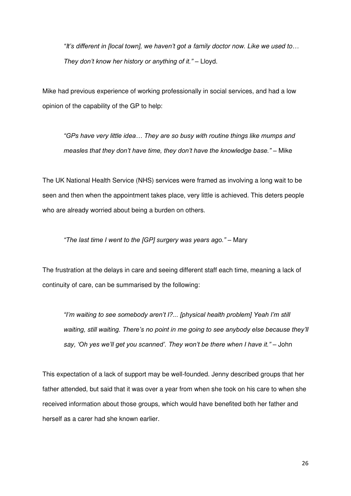*"It's different in [local town], we haven't got a family doctor now. Like we used to… They don't know her history or anything of it."* – Lloyd.

Mike had previous experience of working professionally in social services, and had a low opinion of the capability of the GP to help:

*"GPs have very little idea… They are so busy with routine things like mumps and measles that they don't have time, they don't have the knowledge base."* – Mike

The UK National Health Service (NHS) services were framed as involving a long wait to be seen and then when the appointment takes place, very little is achieved. This deters people who are already worried about being a burden on others.

*"The last time I went to the [GP] surgery was years ago."* – Mary

The frustration at the delays in care and seeing different staff each time, meaning a lack of continuity of care, can be summarised by the following:

*"I'm waiting to see somebody aren't I?... [physical health problem] Yeah I'm still waiting, still waiting. There's no point in me going to see anybody else because they'll say, 'Oh yes we'll get you scanned'. They won't be there when I have it."* – John

This expectation of a lack of support may be well-founded. Jenny described groups that her father attended, but said that it was over a year from when she took on his care to when she received information about those groups, which would have benefited both her father and herself as a carer had she known earlier.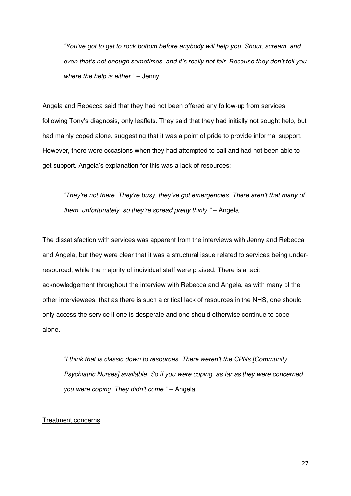*"You've got to get to rock bottom before anybody will help you. Shout, scream, and even that's not enough sometimes, and it's really not fair. Because they don't tell you where the help is either."* – Jenny

Angela and Rebecca said that they had not been offered any follow-up from services following Tony's diagnosis, only leaflets. They said that they had initially not sought help, but had mainly coped alone, suggesting that it was a point of pride to provide informal support. However, there were occasions when they had attempted to call and had not been able to get support. Angela's explanation for this was a lack of resources:

*"They're not there. They're busy, they've got emergencies. There aren't that many of them, unfortunately, so they're spread pretty thinly."* – Angela

The dissatisfaction with services was apparent from the interviews with Jenny and Rebecca and Angela, but they were clear that it was a structural issue related to services being underresourced, while the majority of individual staff were praised. There is a tacit acknowledgement throughout the interview with Rebecca and Angela, as with many of the other interviewees, that as there is such a critical lack of resources in the NHS, one should only access the service if one is desperate and one should otherwise continue to cope alone.

*"I think that is classic down to resources. There weren't the CPNs [Community Psychiatric Nurses] available. So if you were coping, as far as they were concerned you were coping. They didn't come."* – Angela.

#### Treatment concerns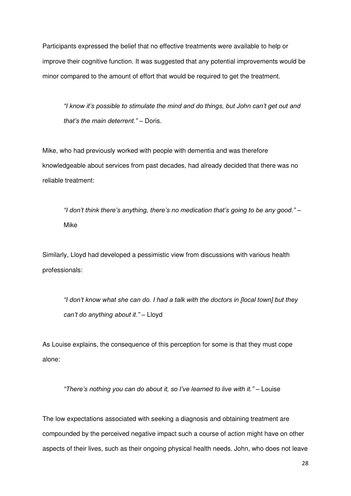Participants expressed the belief that no effective treatments were available to help or improve their cognitive function. It was suggested that any potential improvements would be minor compared to the amount of effort that would be required to get the treatment.

*"I know it's possible to stimulate the mind and do things, but John can't get out and that's the main deterrent." –* Doris.

Mike, who had previously worked with people with dementia and was therefore knowledgeable about services from past decades, had already decided that there was no reliable treatment:

*"I don't think there's anything, there's no medication that's going to be any good."* – Mike

Similarly, Lloyd had developed a pessimistic view from discussions with various health professionals:

*"I don't know what she can do. I had a talk with the doctors in [local town] but they can't do anything about it."* – Lloyd

As Louise explains, the consequence of this perception for some is that they must cope alone:

*"There's nothing you can do about it, so I've learned to live with it."* – Louise

The low expectations associated with seeking a diagnosis and obtaining treatment are compounded by the perceived negative impact such a course of action might have on other aspects of their lives, such as their ongoing physical health needs. John, who does not leave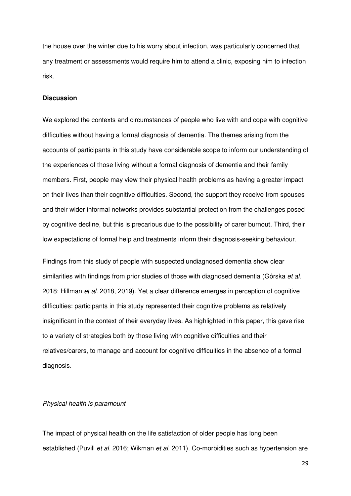the house over the winter due to his worry about infection, was particularly concerned that any treatment or assessments would require him to attend a clinic, exposing him to infection risk.

#### **Discussion**

We explored the contexts and circumstances of people who live with and cope with cognitive difficulties without having a formal diagnosis of dementia. The themes arising from the accounts of participants in this study have considerable scope to inform our understanding of the experiences of those living without a formal diagnosis of dementia and their family members. First, people may view their physical health problems as having a greater impact on their lives than their cognitive difficulties. Second, the support they receive from spouses and their wider informal networks provides substantial protection from the challenges posed by cognitive decline, but this is precarious due to the possibility of carer burnout. Third, their low expectations of formal help and treatments inform their diagnosis-seeking behaviour.

Findings from this study of people with suspected undiagnosed dementia show clear similarities with findings from prior studies of those with diagnosed dementia (Górska *et al.* 2018; Hillman *et al.* 2018, 2019). Yet a clear difference emerges in perception of cognitive difficulties: participants in this study represented their cognitive problems as relatively insignificant in the context of their everyday lives. As highlighted in this paper, this gave rise to a variety of strategies both by those living with cognitive difficulties and their relatives/carers, to manage and account for cognitive difficulties in the absence of a formal diagnosis.

#### *Physical health is paramount*

The impact of physical health on the life satisfaction of older people has long been established (Puvill *et al.* 2016; Wikman *et al.* 2011). Co-morbidities such as hypertension are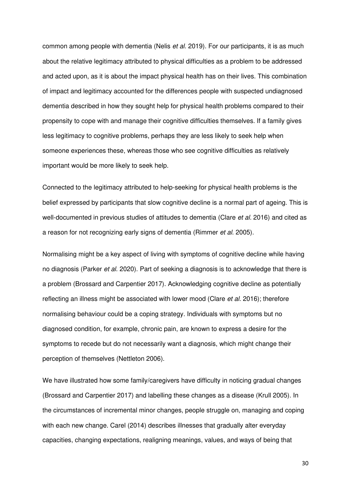common among people with dementia (Nelis *et al.* 2019). For our participants, it is as much about the relative legitimacy attributed to physical difficulties as a problem to be addressed and acted upon, as it is about the impact physical health has on their lives. This combination of impact and legitimacy accounted for the differences people with suspected undiagnosed dementia described in how they sought help for physical health problems compared to their propensity to cope with and manage their cognitive difficulties themselves. If a family gives less legitimacy to cognitive problems, perhaps they are less likely to seek help when someone experiences these, whereas those who see cognitive difficulties as relatively important would be more likely to seek help.

Connected to the legitimacy attributed to help-seeking for physical health problems is the belief expressed by participants that slow cognitive decline is a normal part of ageing. This is well-documented in previous studies of attitudes to dementia (Clare *et al.* 2016) and cited as a reason for not recognizing early signs of dementia (Rimmer *et al.* 2005).

Normalising might be a key aspect of living with symptoms of cognitive decline while having no diagnosis (Parker *et al.* 2020). Part of seeking a diagnosis is to acknowledge that there is a problem (Brossard and Carpentier 2017). Acknowledging cognitive decline as potentially reflecting an illness might be associated with lower mood (Clare *et al.* 2016); therefore normalising behaviour could be a coping strategy. Individuals with symptoms but no diagnosed condition, for example, chronic pain, are known to express a desire for the symptoms to recede but do not necessarily want a diagnosis, which might change their perception of themselves (Nettleton 2006).

We have illustrated how some family/caregivers have difficulty in noticing gradual changes (Brossard and Carpentier 2017) and labelling these changes as a disease (Krull 2005). In the circumstances of incremental minor changes, people struggle on, managing and coping with each new change. Carel (2014) describes illnesses that gradually alter everyday capacities, changing expectations, realigning meanings, values, and ways of being that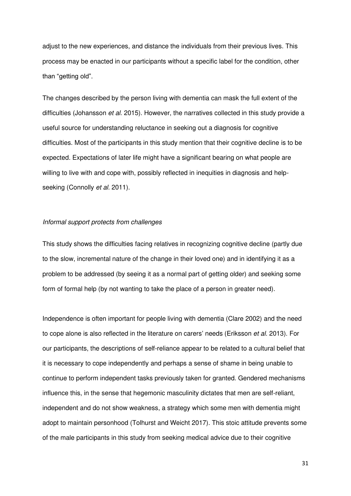adjust to the new experiences, and distance the individuals from their previous lives. This process may be enacted in our participants without a specific label for the condition, other than "getting old".

The changes described by the person living with dementia can mask the full extent of the difficulties (Johansson *et al.* 2015). However, the narratives collected in this study provide a useful source for understanding reluctance in seeking out a diagnosis for cognitive difficulties. Most of the participants in this study mention that their cognitive decline is to be expected. Expectations of later life might have a significant bearing on what people are willing to live with and cope with, possibly reflected in inequities in diagnosis and helpseeking (Connolly *et al.* 2011).

#### *Informal support protects from challenges*

This study shows the difficulties facing relatives in recognizing cognitive decline (partly due to the slow, incremental nature of the change in their loved one) and in identifying it as a problem to be addressed (by seeing it as a normal part of getting older) and seeking some form of formal help (by not wanting to take the place of a person in greater need).

Independence is often important for people living with dementia (Clare 2002) and the need to cope alone is also reflected in the literature on carers' needs (Eriksson *et al.* 2013). For our participants, the descriptions of self-reliance appear to be related to a cultural belief that it is necessary to cope independently and perhaps a sense of shame in being unable to continue to perform independent tasks previously taken for granted. Gendered mechanisms influence this, in the sense that hegemonic masculinity dictates that men are self-reliant, independent and do not show weakness, a strategy which some men with dementia might adopt to maintain personhood (Tolhurst and Weicht 2017). This stoic attitude prevents some of the male participants in this study from seeking medical advice due to their cognitive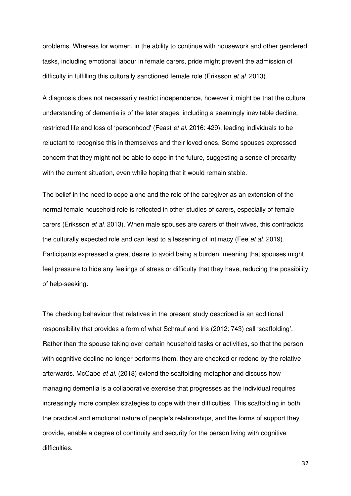problems. Whereas for women, in the ability to continue with housework and other gendered tasks, including emotional labour in female carers, pride might prevent the admission of difficulty in fulfilling this culturally sanctioned female role (Eriksson *et al.* 2013).

A diagnosis does not necessarily restrict independence, however it might be that the cultural understanding of dementia is of the later stages, including a seemingly inevitable decline, restricted life and loss of 'personhood' (Feast *et al.* 2016: 429), leading individuals to be reluctant to recognise this in themselves and their loved ones. Some spouses expressed concern that they might not be able to cope in the future, suggesting a sense of precarity with the current situation, even while hoping that it would remain stable.

The belief in the need to cope alone and the role of the caregiver as an extension of the normal female household role is reflected in other studies of carers, especially of female carers (Eriksson *et al.* 2013). When male spouses are carers of their wives, this contradicts the culturally expected role and can lead to a lessening of intimacy (Fee *et al.* 2019). Participants expressed a great desire to avoid being a burden, meaning that spouses might feel pressure to hide any feelings of stress or difficulty that they have, reducing the possibility of help-seeking.

The checking behaviour that relatives in the present study described is an additional responsibility that provides a form of what Schrauf and Iris (2012: 743) call 'scaffolding'. Rather than the spouse taking over certain household tasks or activities, so that the person with cognitive decline no longer performs them, they are checked or redone by the relative afterwards. McCabe *et al.* (2018) extend the scaffolding metaphor and discuss how managing dementia is a collaborative exercise that progresses as the individual requires increasingly more complex strategies to cope with their difficulties. This scaffolding in both the practical and emotional nature of people's relationships, and the forms of support they provide, enable a degree of continuity and security for the person living with cognitive difficulties.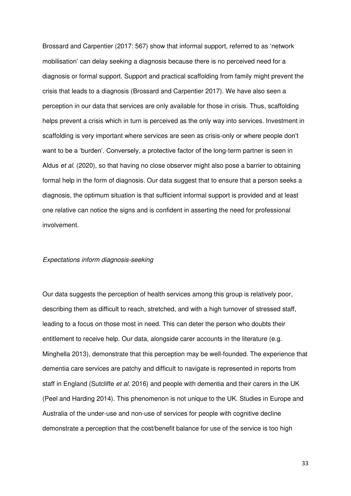Brossard and Carpentier (2017: 567) show that informal support, referred to as 'network mobilisation' can delay seeking a diagnosis because there is no perceived need for a diagnosis or formal support. Support and practical scaffolding from family might prevent the crisis that leads to a diagnosis (Brossard and Carpentier 2017). We have also seen a perception in our data that services are only available for those in crisis. Thus, scaffolding helps prevent a crisis which in turn is perceived as the only way into services. Investment in scaffolding is very important where services are seen as crisis-only or where people don't want to be a 'burden'. Conversely, a protective factor of the long-term partner is seen in Aldus *et al.* (2020), so that having no close observer might also pose a barrier to obtaining formal help in the form of diagnosis. Our data suggest that to ensure that a person seeks a diagnosis, the optimum situation is that sufficient informal support is provided and at least one relative can notice the signs and is confident in asserting the need for professional involvement.

#### *Expectations inform diagnosis-seeking*

Our data suggests the perception of health services among this group is relatively poor, describing them as difficult to reach, stretched, and with a high turnover of stressed staff, leading to a focus on those most in need. This can deter the person who doubts their entitlement to receive help. Our data, alongside carer accounts in the literature (e.g. Minghella 2013), demonstrate that this perception may be well-founded. The experience that dementia care services are patchy and difficult to navigate is represented in reports from staff in England (Sutcliffe *et al.* 2016) and people with dementia and their carers in the UK (Peel and Harding 2014). This phenomenon is not unique to the UK. Studies in Europe and Australia of the under-use and non-use of services for people with cognitive decline demonstrate a perception that the cost/benefit balance for use of the service is too high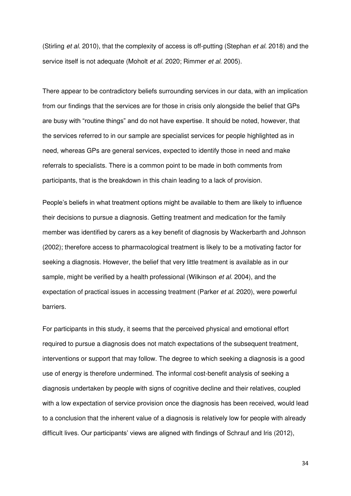(Stirling *et al.* 2010), that the complexity of access is off-putting (Stephan *et al.* 2018) and the service itself is not adequate (Moholt *et al.* 2020; Rimmer *et al.* 2005).

There appear to be contradictory beliefs surrounding services in our data, with an implication from our findings that the services are for those in crisis only alongside the belief that GPs are busy with "routine things" and do not have expertise. It should be noted, however, that the services referred to in our sample are specialist services for people highlighted as in need, whereas GPs are general services, expected to identify those in need and make referrals to specialists. There is a common point to be made in both comments from participants, that is the breakdown in this chain leading to a lack of provision.

People's beliefs in what treatment options might be available to them are likely to influence their decisions to pursue a diagnosis. Getting treatment and medication for the family member was identified by carers as a key benefit of diagnosis by Wackerbarth and Johnson (2002); therefore access to pharmacological treatment is likely to be a motivating factor for seeking a diagnosis. However, the belief that very little treatment is available as in our sample, might be verified by a health professional (Wilkinson *et al.* 2004), and the expectation of practical issues in accessing treatment (Parker *et al.* 2020), were powerful barriers.

For participants in this study, it seems that the perceived physical and emotional effort required to pursue a diagnosis does not match expectations of the subsequent treatment, interventions or support that may follow. The degree to which seeking a diagnosis is a good use of energy is therefore undermined. The informal cost-benefit analysis of seeking a diagnosis undertaken by people with signs of cognitive decline and their relatives, coupled with a low expectation of service provision once the diagnosis has been received, would lead to a conclusion that the inherent value of a diagnosis is relatively low for people with already difficult lives. Our participants' views are aligned with findings of Schrauf and Iris (2012),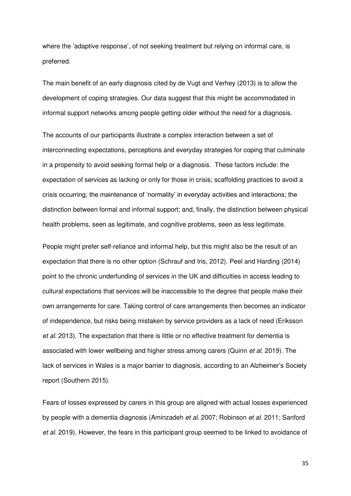where the 'adaptive response', of not seeking treatment but relying on informal care, is preferred.

The main benefit of an early diagnosis cited by de Vugt and Verhey (2013) is to allow the development of coping strategies. Our data suggest that this might be accommodated in informal support networks among people getting older without the need for a diagnosis.

The accounts of our participants illustrate a complex interaction between a set of interconnecting expectations, perceptions and everyday strategies for coping that culminate in a propensity to avoid seeking formal help or a diagnosis. These factors include: the expectation of services as lacking or only for those in crisis; scaffolding practices to avoid a crisis occurring; the maintenance of 'normality' in everyday activities and interactions; the distinction between formal and informal support; and, finally, the distinction between physical health problems, seen as legitimate, and cognitive problems, seen as less legitimate.

People might prefer self-reliance and informal help, but this might also be the result of an expectation that there is no other option (Schrauf and Iris, 2012). Peel and Harding (2014) point to the chronic underfunding of services in the UK and difficulties in access leading to cultural expectations that services will be inaccessible to the degree that people make their own arrangements for care. Taking control of care arrangements then becomes an indicator of independence, but risks being mistaken by service providers as a lack of need (Eriksson *et al.* 2013). The expectation that there is little or no effective treatment for dementia is associated with lower wellbeing and higher stress among carers (Quinn *et al.* 2019). The lack of services in Wales is a major barrier to diagnosis, according to an Alzheimer's Society report (Southern 2015).

Fears of losses expressed by carers in this group are aligned with actual losses experienced by people with a dementia diagnosis (Aminzadeh *et al.* 2007; Robinson *et al.* 2011; Sanford *et al.* 2019). However, the fears in this participant group seemed to be linked to avoidance of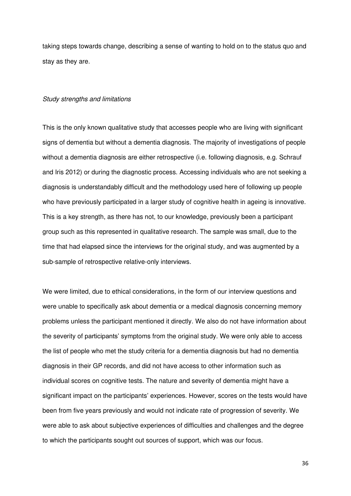taking steps towards change, describing a sense of wanting to hold on to the status quo and stay as they are.

#### *Study strengths and limitations*

This is the only known qualitative study that accesses people who are living with significant signs of dementia but without a dementia diagnosis. The majority of investigations of people without a dementia diagnosis are either retrospective (i.e. following diagnosis, e.g. Schrauf and Iris 2012) or during the diagnostic process. Accessing individuals who are not seeking a diagnosis is understandably difficult and the methodology used here of following up people who have previously participated in a larger study of cognitive health in ageing is innovative. This is a key strength, as there has not, to our knowledge, previously been a participant group such as this represented in qualitative research. The sample was small, due to the time that had elapsed since the interviews for the original study, and was augmented by a sub-sample of retrospective relative-only interviews.

We were limited, due to ethical considerations, in the form of our interview questions and were unable to specifically ask about dementia or a medical diagnosis concerning memory problems unless the participant mentioned it directly. We also do not have information about the severity of participants' symptoms from the original study. We were only able to access the list of people who met the study criteria for a dementia diagnosis but had no dementia diagnosis in their GP records, and did not have access to other information such as individual scores on cognitive tests. The nature and severity of dementia might have a significant impact on the participants' experiences. However, scores on the tests would have been from five years previously and would not indicate rate of progression of severity. We were able to ask about subjective experiences of difficulties and challenges and the degree to which the participants sought out sources of support, which was our focus.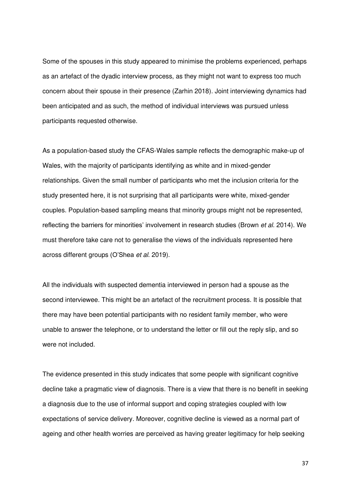Some of the spouses in this study appeared to minimise the problems experienced, perhaps as an artefact of the dyadic interview process, as they might not want to express too much concern about their spouse in their presence (Zarhin 2018). Joint interviewing dynamics had been anticipated and as such, the method of individual interviews was pursued unless participants requested otherwise.

As a population-based study the CFAS-Wales sample reflects the demographic make-up of Wales, with the majority of participants identifying as white and in mixed-gender relationships. Given the small number of participants who met the inclusion criteria for the study presented here, it is not surprising that all participants were white, mixed-gender couples. Population-based sampling means that minority groups might not be represented, reflecting the barriers for minorities' involvement in research studies (Brown *et al.* 2014). We must therefore take care not to generalise the views of the individuals represented here across different groups (O'Shea *et al*. 2019).

All the individuals with suspected dementia interviewed in person had a spouse as the second interviewee. This might be an artefact of the recruitment process. It is possible that there may have been potential participants with no resident family member, who were unable to answer the telephone, or to understand the letter or fill out the reply slip, and so were not included.

The evidence presented in this study indicates that some people with significant cognitive decline take a pragmatic view of diagnosis. There is a view that there is no benefit in seeking a diagnosis due to the use of informal support and coping strategies coupled with low expectations of service delivery. Moreover, cognitive decline is viewed as a normal part of ageing and other health worries are perceived as having greater legitimacy for help seeking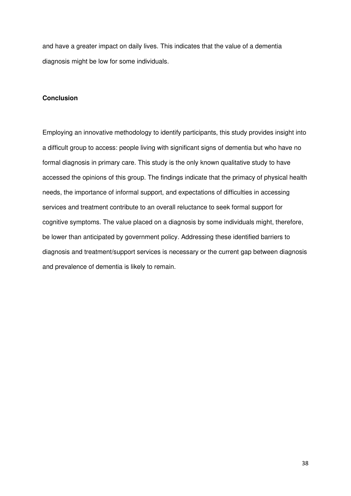and have a greater impact on daily lives. This indicates that the value of a dementia diagnosis might be low for some individuals.

#### **Conclusion**

Employing an innovative methodology to identify participants, this study provides insight into a difficult group to access: people living with significant signs of dementia but who have no formal diagnosis in primary care. This study is the only known qualitative study to have accessed the opinions of this group. The findings indicate that the primacy of physical health needs, the importance of informal support, and expectations of difficulties in accessing services and treatment contribute to an overall reluctance to seek formal support for cognitive symptoms. The value placed on a diagnosis by some individuals might, therefore, be lower than anticipated by government policy. Addressing these identified barriers to diagnosis and treatment/support services is necessary or the current gap between diagnosis and prevalence of dementia is likely to remain.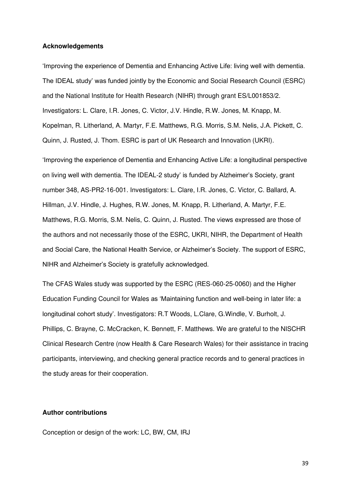#### **Acknowledgements**

'Improving the experience of Dementia and Enhancing Active Life: living well with dementia. The IDEAL study' was funded jointly by the Economic and Social Research Council (ESRC) and the National Institute for Health Research (NIHR) through grant ES/L001853/2. Investigators: L. Clare, I.R. Jones, C. Victor, J.V. Hindle, R.W. Jones, M. Knapp, M. Kopelman, R. Litherland, A. Martyr, F.E. Matthews, R.G. Morris, S.M. Nelis, J.A. Pickett, C. Quinn, J. Rusted, J. Thom. ESRC is part of UK Research and Innovation (UKRI).

'Improving the experience of Dementia and Enhancing Active Life: a longitudinal perspective on living well with dementia. The IDEAL-2 study' is funded by Alzheimer's Society, grant number 348, AS-PR2-16-001. Investigators: L. Clare, I.R. Jones, C. Victor, C. Ballard, A. Hillman, J.V. Hindle, J. Hughes, R.W. Jones, M. Knapp, R. Litherland, A. Martyr, F.E. Matthews, R.G. Morris, S.M. Nelis, C. Quinn, J. Rusted. The views expressed are those of the authors and not necessarily those of the ESRC, UKRI, NIHR, the Department of Health and Social Care, the National Health Service, or Alzheimer's Society. The support of ESRC, NIHR and Alzheimer's Society is gratefully acknowledged.

The CFAS Wales study was supported by the ESRC (RES-060-25-0060) and the Higher Education Funding Council for Wales as 'Maintaining function and well-being in later life: a longitudinal cohort study'. Investigators: R.T Woods, L.Clare, G.Windle, V. Burholt, J. Phillips, C. Brayne, C. McCracken, K. Bennett, F. Matthews. We are grateful to the NISCHR Clinical Research Centre (now Health & Care Research Wales) for their assistance in tracing participants, interviewing, and checking general practice records and to general practices in the study areas for their cooperation.

## **Author contributions**

Conception or design of the work: LC, BW, CM, IRJ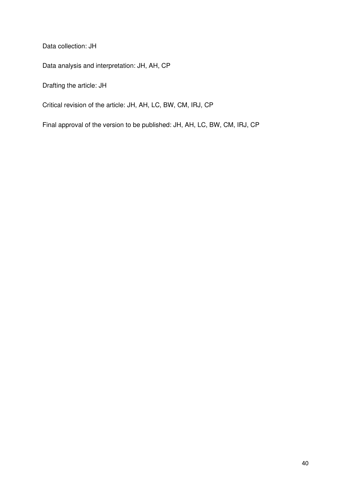Data collection: JH

Data analysis and interpretation: JH, AH, CP

Drafting the article: JH

Critical revision of the article: JH, AH, LC, BW, CM, IRJ, CP

Final approval of the version to be published: JH, AH, LC, BW, CM, IRJ, CP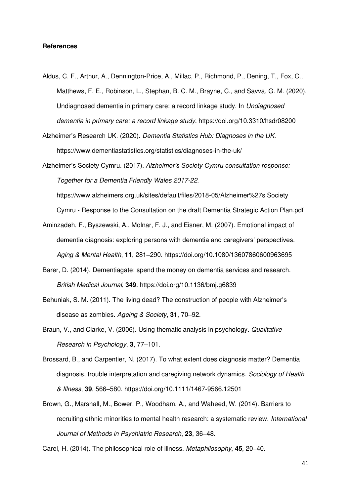#### **References**

- Aldus, C. F., Arthur, A., Dennington-Price, A., Millac, P., Richmond, P., Dening, T., Fox, C., Matthews, F. E., Robinson, L., Stephan, B. C. M., Brayne, C., and Savva, G. M. (2020). Undiagnosed dementia in primary care: a record linkage study. In *Undiagnosed dementia in primary care: a record linkage study*. https://doi.org/10.3310/hsdr08200
- Alzheimer's Research UK. (2020). *Dementia Statistics Hub: Diagnoses in the UK*. https://www.dementiastatistics.org/statistics/diagnoses-in-the-uk/

Alzheimer's Society Cymru. (2017). *Alzheimer's Society Cymru consultation response: Together for a Dementia Friendly Wales 2017-22*. https://www.alzheimers.org.uk/sites/default/files/2018-05/Alzheimer%27s Society Cymru - Response to the Consultation on the draft Dementia Strategic Action Plan.pdf

- Aminzadeh, F., Byszewski, A., Molnar, F. J., and Eisner, M. (2007). Emotional impact of dementia diagnosis: exploring persons with dementia and caregivers' perspectives. *Aging & Mental Health*, **11**, 281–290. https://doi.org/10.1080/13607860600963695
- Barer, D. (2014). Dementiagate: spend the money on dementia services and research. *British Medical Journal*, **349**. https://doi.org/10.1136/bmj.g6839
- Behuniak, S. M. (2011). The living dead? The construction of people with Alzheimer's disease as zombies. *Ageing & Society*, **31**, 70–92.
- Braun, V., and Clarke, V. (2006). Using thematic analysis in psychology. *Qualitative Research in Psychology*, **3**, 77–101.
- Brossard, B., and Carpentier, N. (2017). To what extent does diagnosis matter? Dementia diagnosis, trouble interpretation and caregiving network dynamics. *Sociology of Health & Illness*, **39**, 566–580. https://doi.org/10.1111/1467-9566.12501
- Brown, G., Marshall, M., Bower, P., Woodham, A., and Waheed, W. (2014). Barriers to recruiting ethnic minorities to mental health research: a systematic review. *International Journal of Methods in Psychiatric Research*, **23**, 36–48.

Carel, H. (2014). The philosophical role of illness. *Metaphilosophy*, **45**, 20–40.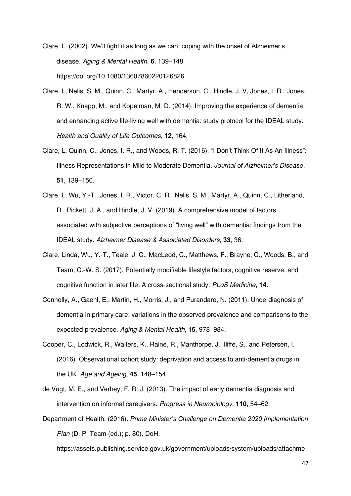Clare, L. (2002). We'll fight it as long as we can: coping with the onset of Alzheimer's disease. *Aging & Mental Health*, **6**, 139–148. https://doi.org/10.1080/13607860220126826

- Clare, L, Nelis, S. M., Quinn, C., Martyr, A., Henderson, C., Hindle, J. V, Jones, I. R., Jones, R. W., Knapp, M., and Kopelman, M. D. (2014). Improving the experience of dementia and enhancing active life-living well with dementia: study protocol for the IDEAL study. *Health and Quality of Life Outcomes*, **12**, 164.
- Clare, L, Quinn, C., Jones, I. R., and Woods, R. T. (2016). "I Don't Think Of It As An Illness": Illness Representations in Mild to Moderate Dementia. *Journal of Alzheimer's Disease*, **51**, 139–150.
- Clare, L, Wu, Y.-T., Jones, I. R., Victor, C. R., Nelis, S. M., Martyr, A., Quinn, C., Litherland, R., Pickett, J. A., and Hindle, J. V. (2019). A comprehensive model of factors associated with subjective perceptions of "living well" with dementia: findings from the IDEAL study. *Alzheimer Disease & Associated Disorders*, **33**, 36.
- Clare, Linda, Wu, Y.-T., Teale, J. C., MacLeod, C., Matthews, F., Brayne, C., Woods, B., and Team, C.-W. S. (2017). Potentially modifiable lifestyle factors, cognitive reserve, and cognitive function in later life: A cross-sectional study. *PLoS Medicine*, **14**.
- Connolly, A., Gaehl, E., Martin, H., Morris, J., and Purandare, N. (2011). Underdiagnosis of dementia in primary care: variations in the observed prevalence and comparisons to the expected prevalence. *Aging & Mental Health*, **15**, 978–984.
- Cooper, C., Lodwick, R., Walters, K., Raine, R., Manthorpe, J., Iliffe, S., and Petersen, I. (2016). Observational cohort study: deprivation and access to anti-dementia drugs in the UK. *Age and Ageing*, **45**, 148–154.
- de Vugt, M. E., and Verhey, F. R. J. (2013). The impact of early dementia diagnosis and intervention on informal caregivers. *Progress in Neurobiology*, **110**, 54–62.
- Department of Health. (2016). *Prime Minister's Challenge on Dementia 2020 Implementation Plan* (D. P. Team (ed.); p. 80). DoH.

https://assets.publishing.service.gov.uk/government/uploads/system/uploads/attachme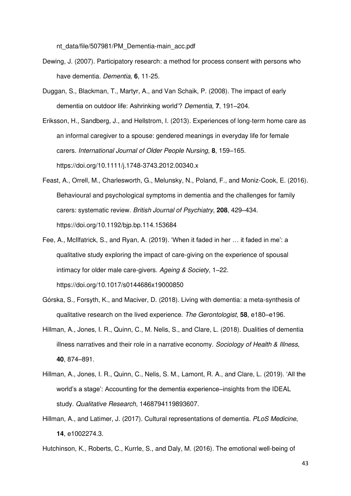nt\_data/file/507981/PM\_Dementia-main\_acc.pdf

- Dewing, J. (2007). Participatory research: a method for process consent with persons who have dementia. *Dementia,* **6**, 11-25.
- Duggan, S., Blackman, T., Martyr, A., and Van Schaik, P. (2008). The impact of early dementia on outdoor life: Ashrinking world'? *Dementia*, **7**, 191–204.
- Eriksson, H., Sandberg, J., and Hellstrom, I. (2013). Experiences of long-term home care as an informal caregiver to a spouse: gendered meanings in everyday life for female carers. *International Journal of Older People Nursing*, **8**, 159–165. https://doi.org/10.1111/j.1748-3743.2012.00340.x
- Feast, A., Orrell, M., Charlesworth, G., Melunsky, N., Poland, F., and Moniz-Cook, E. (2016). Behavioural and psychological symptoms in dementia and the challenges for family carers: systematic review. *British Journal of Psychiatry*, **208**, 429–434. https://doi.org/10.1192/bjp.bp.114.153684
- Fee, A., McIlfatrick, S., and Ryan, A. (2019). 'When it faded in her … it faded in me': a qualitative study exploring the impact of care-giving on the experience of spousal intimacy for older male care-givers. *Ageing & Society*, 1–22. https://doi.org/10.1017/s0144686x19000850
- Górska, S., Forsyth, K., and Maciver, D. (2018). Living with dementia: a meta-synthesis of qualitative research on the lived experience. *The Gerontologist*, **58**, e180–e196.
- Hillman, A., Jones, I. R., Quinn, C., M. Nelis, S., and Clare, L. (2018). Dualities of dementia illness narratives and their role in a narrative economy. *Sociology of Health & Illness*, **40**, 874–891.
- Hillman, A., Jones, I. R., Quinn, C., Nelis, S. M., Lamont, R. A., and Clare, L. (2019). 'All the world's a stage': Accounting for the dementia experience–insights from the IDEAL study. *Qualitative Research*, 1468794119893607.
- Hillman, A., and Latimer, J. (2017). Cultural representations of dementia. *PLoS Medicine*, **14**, e1002274.3.

Hutchinson, K., Roberts, C., Kurrle, S., and Daly, M. (2016). The emotional well-being of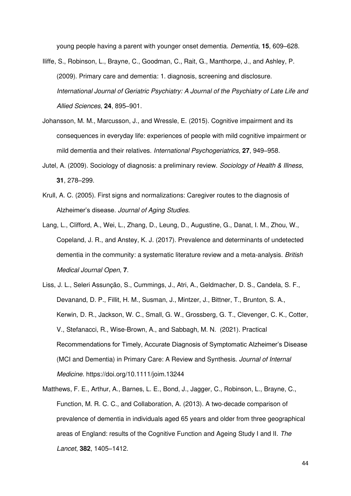young people having a parent with younger onset dementia. *Dementia*, **15**, 609–628.

- Iliffe, S., Robinson, L., Brayne, C., Goodman, C., Rait, G., Manthorpe, J., and Ashley, P. (2009). Primary care and dementia: 1. diagnosis, screening and disclosure. *International Journal of Geriatric Psychiatry: A Journal of the Psychiatry of Late Life and Allied Sciences*, **24**, 895–901.
- Johansson, M. M., Marcusson, J., and Wressle, E. (2015). Cognitive impairment and its consequences in everyday life: experiences of people with mild cognitive impairment or mild dementia and their relatives. *International Psychogeriatrics*, **27**, 949–958.
- Jutel, A. (2009). Sociology of diagnosis: a preliminary review. *Sociology of Health & Illness*, **31**, 278–299.
- Krull, A. C. (2005). First signs and normalizations: Caregiver routes to the diagnosis of Alzheimer's disease. *Journal of Aging Studies*.
- Lang, L., Clifford, A., Wei, L., Zhang, D., Leung, D., Augustine, G., Danat, I. M., Zhou, W., Copeland, J. R., and Anstey, K. J. (2017). Prevalence and determinants of undetected dementia in the community: a systematic literature review and a meta-analysis. *British Medical Journal Open*, **7**.
- Liss, J. L., Seleri Assunção, S., Cummings, J., Atri, A., Geldmacher, D. S., Candela, S. F., Devanand, D. P., Fillit, H. M., Susman, J., Mintzer, J., Bittner, T., Brunton, S. A., Kerwin, D. R., Jackson, W. C., Small, G. W., Grossberg, G. T., Clevenger, C. K., Cotter, V., Stefanacci, R., Wise-Brown, A., and Sabbagh, M. N. (2021). Practical Recommendations for Timely, Accurate Diagnosis of Symptomatic Alzheimer's Disease (MCI and Dementia) in Primary Care: A Review and Synthesis. *Journal of Internal Medicine.* https://doi.org/10.1111/joim.13244
- Matthews, F. E., Arthur, A., Barnes, L. E., Bond, J., Jagger, C., Robinson, L., Brayne, C., Function, M. R. C. C., and Collaboration, A. (2013). A two-decade comparison of prevalence of dementia in individuals aged 65 years and older from three geographical areas of England: results of the Cognitive Function and Ageing Study I and II. *The Lancet*, **382**, 1405–1412.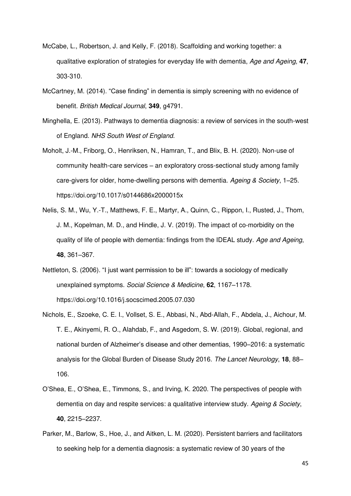- McCabe, L., Robertson, J. and Kelly, F. (2018). Scaffolding and working together: a qualitative exploration of strategies for everyday life with dementia, *Age and Ageing,* **47**, 303-310.
- McCartney, M. (2014). "Case finding" in dementia is simply screening with no evidence of benefit. *British Medical Journal*, **349**, g4791.
- Minghella, E. (2013). Pathways to dementia diagnosis: a review of services in the south-west of England. *NHS South West of England*.
- Moholt, J.-M., Friborg, O., Henriksen, N., Hamran, T., and Blix, B. H. (2020). Non-use of community health-care services – an exploratory cross-sectional study among family care-givers for older, home-dwelling persons with dementia. *Ageing & Society*, 1–25. https://doi.org/10.1017/s0144686x2000015x
- Nelis, S. M., Wu, Y.-T., Matthews, F. E., Martyr, A., Quinn, C., Rippon, I., Rusted, J., Thom, J. M., Kopelman, M. D., and Hindle, J. V. (2019). The impact of co-morbidity on the quality of life of people with dementia: findings from the IDEAL study. *Age and Ageing*, **48**, 361–367.
- Nettleton, S. (2006). "I just want permission to be ill": towards a sociology of medically unexplained symptoms. *Social Science & Medicine*, **62**, 1167–1178. https://doi.org/10.1016/j.socscimed.2005.07.030
- Nichols, E., Szoeke, C. E. I., Vollset, S. E., Abbasi, N., Abd-Allah, F., Abdela, J., Aichour, M. T. E., Akinyemi, R. O., Alahdab, F., and Asgedom, S. W. (2019). Global, regional, and national burden of Alzheimer's disease and other dementias, 1990–2016: a systematic analysis for the Global Burden of Disease Study 2016. *The Lancet Neurology*, **18**, 88– 106.
- O'Shea, E., O'Shea, E., Timmons, S., and Irving, K. 2020. The perspectives of people with dementia on day and respite services: a qualitative interview study. *Ageing & Society*, **40**, 2215–2237.
- Parker, M., Barlow, S., Hoe, J., and Aitken, L. M. (2020). Persistent barriers and facilitators to seeking help for a dementia diagnosis: a systematic review of 30 years of the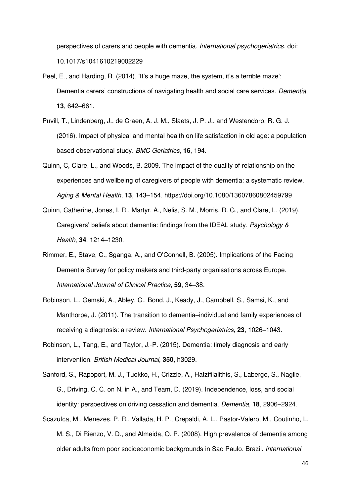perspectives of carers and people with dementia. *International psychogeriatrics.* doi: 10.1017/s1041610219002229

- Peel, E., and Harding, R. (2014). 'It's a huge maze, the system, it's a terrible maze': Dementia carers' constructions of navigating health and social care services. *Dementia*, **13**, 642–661.
- Puvill, T., Lindenberg, J., de Craen, A. J. M., Slaets, J. P. J., and Westendorp, R. G. J. (2016). Impact of physical and mental health on life satisfaction in old age: a population based observational study. *BMC Geriatrics*, **16**, 194.
- Quinn, C, Clare, L., and Woods, B. 2009. The impact of the quality of relationship on the experiences and wellbeing of caregivers of people with dementia: a systematic review. *Aging & Mental Health*, **13**, 143–154. https://doi.org/10.1080/13607860802459799
- Quinn, Catherine, Jones, I. R., Martyr, A., Nelis, S. M., Morris, R. G., and Clare, L. (2019). Caregivers' beliefs about dementia: findings from the IDEAL study. *Psychology & Health*, **34**, 1214–1230.
- Rimmer, E., Stave, C., Sganga, A., and O'Connell, B. (2005). Implications of the Facing Dementia Survey for policy makers and third‐party organisations across Europe. *International Journal of Clinical Practice*, **59**, 34–38.
- Robinson, L., Gemski, A., Abley, C., Bond, J., Keady, J., Campbell, S., Samsi, K., and Manthorpe, J. (2011). The transition to dementia–individual and family experiences of receiving a diagnosis: a review. *International Psychogeriatrics*, **23**, 1026–1043.
- Robinson, L., Tang, E., and Taylor, J.-P. (2015). Dementia: timely diagnosis and early intervention. *British Medical Journal*, **350**, h3029.
- Sanford, S., Rapoport, M. J., Tuokko, H., Crizzle, A., Hatzifilalithis, S., Laberge, S., Naglie, G., Driving, C. C. on N. in A., and Team, D. (2019). Independence, loss, and social identity: perspectives on driving cessation and dementia. *Dementia*, **18**, 2906–2924.
- Scazufca, M., Menezes, P. R., Vallada, H. P., Crepaldi, A. L., Pastor-Valero, M., Coutinho, L. M. S., Di Rienzo, V. D., and Almeida, O. P. (2008). High prevalence of dementia among older adults from poor socioeconomic backgrounds in Sao Paulo, Brazil. *International*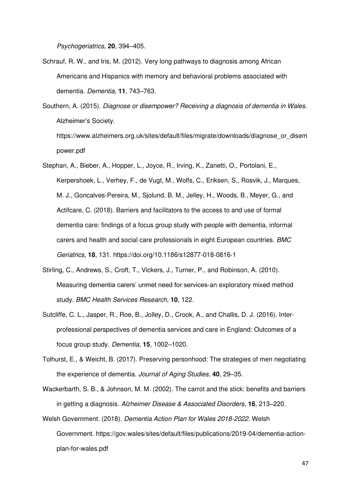*Psychogeriatrics*, **20**, 394–405.

power.pdf

- Schrauf, R. W., and Iris, M. (2012). Very long pathways to diagnosis among African Americans and Hispanics with memory and behavioral problems associated with dementia. *Dementia*, **11**, 743–763.
- Southern, A. (2015). *Diagnose or disempower? Receiving a diagnosis of dementia in Wales*. Alzheimer's Society. https://www.alzheimers.org.uk/sites/default/files/migrate/downloads/diagnose\_or\_disem

Stephan, A., Bieber, A., Hopper, L., Joyce, R., Irving, K., Zanetti, O., Portolani, E., Kerpershoek, L., Verhey, F., de Vugt, M., Wolfs, C., Eriksen, S., Rosvik, J., Marques, M. J., Goncalves-Pereira, M., Sjolund, B. M., Jelley, H., Woods, B., Meyer, G., and Actifcare, C. (2018). Barriers and facilitators to the access to and use of formal dementia care: findings of a focus group study with people with dementia, informal carers and health and social care professionals in eight European countries. *BMC Geriatrics*, **18**, 131. https://doi.org/10.1186/s12877-018-0816-1

- Stirling, C., Andrews, S., Croft, T., Vickers, J., Turner, P., and Robinson, A. (2010). Measuring dementia carers' unmet need for services-an exploratory mixed method study. *BMC Health Services Research*, **10**, 122.
- Sutcliffe, C. L., Jasper, R., Roe, B., Jolley, D., Crook, A., and Challis, D. J. (2016). Interprofessional perspectives of dementia services and care in England: Outcomes of a focus group study. *Dementia*, **15**, 1002–1020.
- Tolhurst, E., & Weicht, B. (2017). Preserving personhood: The strategies of men negotiating the experience of dementia. *Journal of Aging Studies*, **40**, 29–35.
- Wackerbarth, S. B., & Johnson, M. M. (2002). The carrot and the stick: benefits and barriers in getting a diagnosis. *Alzheimer Disease & Associated Disorders*, **16**, 213–220.
- Welsh Government. (2018). *Dementia Action Plan for Wales 2018-2022*. Welsh Government. https://gov.wales/sites/default/files/publications/2019-04/dementia-actionplan-for-wales.pdf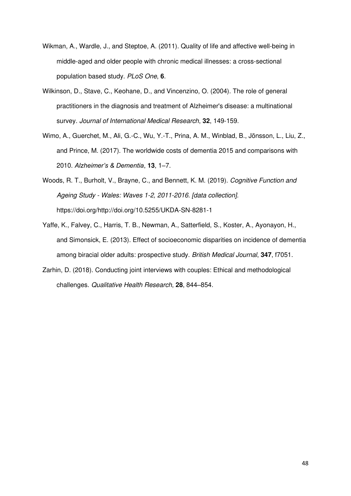- Wikman, A., Wardle, J., and Steptoe, A. (2011). Quality of life and affective well-being in middle-aged and older people with chronic medical illnesses: a cross-sectional population based study. *PLoS One*, **6**.
- Wilkinson, D., Stave, C., Keohane, D., and Vincenzino, O. (2004). The role of general practitioners in the diagnosis and treatment of Alzheimer's disease: a multinational survey. *Journal of International Medical Research*, **32**, 149-159.
- Wimo, A., Guerchet, M., Ali, G.-C., Wu, Y.-T., Prina, A. M., Winblad, B., Jönsson, L., Liu, Z., and Prince, M. (2017). The worldwide costs of dementia 2015 and comparisons with 2010. *Alzheimer's & Dementia*, **13**, 1–7.
- Woods, R. T., Burholt, V., Brayne, C., and Bennett, K. M. (2019). *Cognitive Function and Ageing Study - Wales: Waves 1-2, 2011-2016. [data collection].* https://doi.org/http://doi.org/10.5255/UKDA-SN-8281-1
- Yaffe, K., Falvey, C., Harris, T. B., Newman, A., Satterfield, S., Koster, A., Ayonayon, H., and Simonsick, E. (2013). Effect of socioeconomic disparities on incidence of dementia among biracial older adults: prospective study. *British Medical Journal*, **347**, f7051.
- Zarhin, D. (2018). Conducting joint interviews with couples: Ethical and methodological challenges. *Qualitative Health Research*, **28**, 844–854.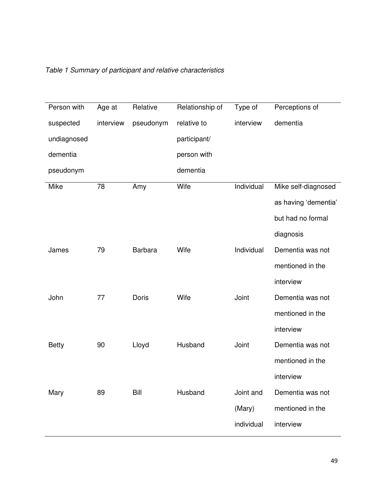| Person with  | Age at    | Relative       | Relationship of | Type of    | Perceptions of       |
|--------------|-----------|----------------|-----------------|------------|----------------------|
| suspected    | interview | pseudonym      | relative to     | interview  | dementia             |
| undiagnosed  |           |                | participant/    |            |                      |
| dementia     |           |                | person with     |            |                      |
| pseudonym    |           |                | dementia        |            |                      |
| Mike         | 78        | Amy            | Wife            | Individual | Mike self-diagnosed  |
|              |           |                |                 |            | as having 'dementia' |
|              |           |                |                 |            | but had no formal    |
|              |           |                |                 |            | diagnosis            |
| James        | 79        | <b>Barbara</b> | Wife            | Individual | Dementia was not     |
|              |           |                |                 |            | mentioned in the     |
|              |           |                |                 |            | interview            |
| John         | 77        | Doris          | Wife            | Joint      | Dementia was not     |
|              |           |                |                 |            | mentioned in the     |
|              |           |                |                 |            | interview            |
| <b>Betty</b> | 90        | Lloyd          | Husband         | Joint      | Dementia was not     |
|              |           |                |                 |            | mentioned in the     |
|              |           |                |                 |            | interview            |
| Mary         | 89        | Bill           | Husband         | Joint and  | Dementia was not     |
|              |           |                |                 | (Mary)     | mentioned in the     |
|              |           |                |                 | individual | interview            |

## *Table 1 Summary of participant and relative characteristics*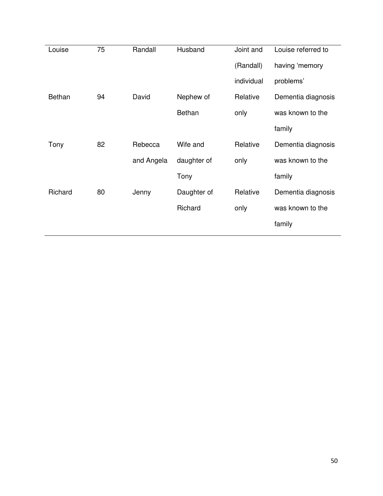| Louise  | 75 | Randall    | Husband       | Joint and  | Louise referred to |
|---------|----|------------|---------------|------------|--------------------|
|         |    |            |               | (Randall)  | having 'memory     |
|         |    |            |               | individual | problems'          |
| Bethan  | 94 | David      | Nephew of     | Relative   | Dementia diagnosis |
|         |    |            | <b>Bethan</b> | only       | was known to the   |
|         |    |            |               |            | family             |
| Tony    | 82 | Rebecca    | Wife and      | Relative   | Dementia diagnosis |
|         |    | and Angela | daughter of   | only       | was known to the   |
|         |    |            | Tony          |            | family             |
| Richard | 80 | Jenny      | Daughter of   | Relative   | Dementia diagnosis |
|         |    |            | Richard       | only       | was known to the   |
|         |    |            |               |            | family             |
|         |    |            |               |            |                    |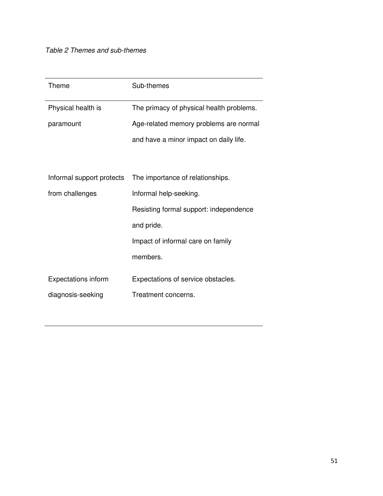| Theme                      | Sub-themes                               |  |  |
|----------------------------|------------------------------------------|--|--|
| Physical health is         | The primacy of physical health problems. |  |  |
| paramount                  | Age-related memory problems are normal   |  |  |
|                            | and have a minor impact on daily life.   |  |  |
|                            |                                          |  |  |
| Informal support protects  | The importance of relationships.         |  |  |
| from challenges            | Informal help-seeking.                   |  |  |
|                            | Resisting formal support: independence   |  |  |
|                            | and pride.                               |  |  |
|                            | Impact of informal care on family        |  |  |
|                            | members.                                 |  |  |
| <b>Expectations inform</b> | Expectations of service obstacles.       |  |  |
| diagnosis-seeking          | Treatment concerns.                      |  |  |
|                            |                                          |  |  |